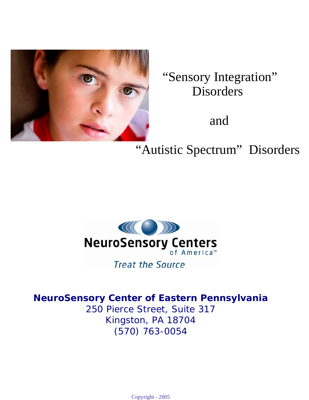

"Sensory Integration" Disorders

and

"Autistic Spectrum" Disorders



**Treat the Source** 

# **NeuroSensory Center of Eastern Pennsylvania**

250 Pierce Street, Suite 317 Kingston, PA 18704 (570) 763-0054

Copyright - 2005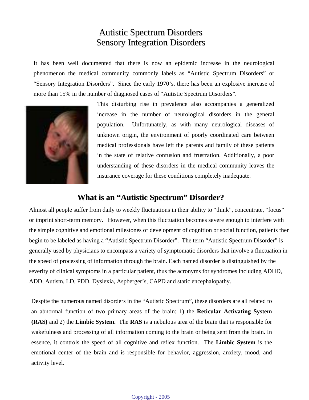# Autistic Spectrum Disorders Sensory Integration Disorders

It has been well documented that there is now an epidemic increase in the neurological phenomenon the medical community commonly labels as "Autistic Spectrum Disorders" or "Sensory Integration Disorders". Since the early 1970's, there has been an explosive increase of more than 15% in the number of diagnosed cases of "Autistic Spectrum Disorders".



This disturbing rise in prevalence also accompanies a generalized increase in the number of neurological disorders in the general population. Unfortunately, as with many neurological diseases of unknown origin, the environment of poorly coordinated care between medical professionals have left the parents and family of these patients in the state of relative confusion and frustration. Additionally, a poor understanding of these disorders in the medical community leaves the insurance coverage for these conditions completely inadequate.

## **What is an "Autistic Spectrum" Disorder?**

Almost all people suffer from daily to weekly fluctuations in their ability to "think", concentrate, "focus" or imprint short-term memory. However, when this fluctuation becomes severe enough to interfere with the simple cognitive and emotional milestones of development of cognition or social function, patients then begin to be labeled as having a "Autistic Spectrum Disorder". The term "Autistic Spectrum Disorder" is generally used by physicians to encompass a variety of symptomatic disorders that involve a fluctuation in the speed of processing of information through the brain. Each named disorder is distinguished by the severity of clinical symptoms in a particular patient, thus the acronyms for syndromes including ADHD, ADD, Autism, LD, PDD, Dyslexia, Aspberger's, CAPD and static encephalopathy.

Despite the numerous named disorders in the "Autistic Spectrum", these disorders are all related to an abnormal function of two primary areas of the brain: 1) the **Reticular Activating System (RAS)** and 2) the **Limbic System.** The **RAS** is a nebulous area of the brain that is responsible for wakefulness and processing of all information coming to the brain or being sent from the brain. In essence, it controls the speed of all cognitive and reflex function. The **Limbic System** is the emotional center of the brain and is responsible for behavior, aggression, anxiety, mood, and activity level.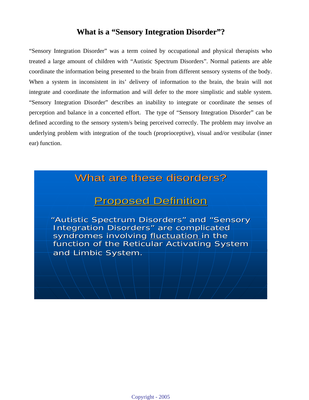## **What is a "Sensory Integration Disorder"?**

"Sensory Integration Disorder" was a term coined by occupational and physical therapists who treated a large amount of children with "Autistic Spectrum Disorders". Normal patients are able coordinate the information being presented to the brain from different sensory systems of the body. When a system in inconsistent in its' delivery of information to the brain, the brain will not integrate and coordinate the information and will defer to the more simplistic and stable system. "Sensory Integration Disorder" describes an inability to integrate or coordinate the senses of perception and balance in a concerted effort. The type of "Sensory Integration Disorder" can be defined according to the sensory system/s being perceived correctly. The problem may involve an underlying problem with integration of the touch (proprioceptive), visual and/or vestibular (inner ear) function.

# What are these disorders?

# **Proposed Definition**

"Autistic Spectrum Disorders" and "Sensory Integration Disorders" are complicated syndromes involving fluctuation in the function of the Reticular Activating System and Limbic System.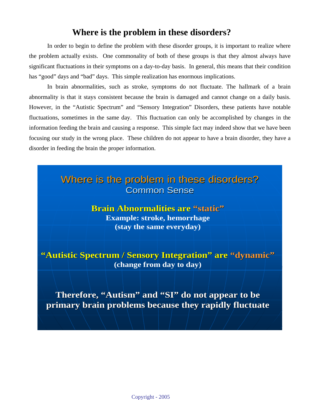## **Where is the problem in these disorders?**

 In order to begin to define the problem with these disorder groups, it is important to realize where the problem actually exists. One commonality of both of these groups is that they almost always have significant fluctuations in their symptoms on a day-to-day basis. In general, this means that their condition has "good" days and "bad" days. This simple realization has enormous implications.

 In brain abnormalities, such as stroke, symptoms do not fluctuate. The hallmark of a brain abnormality is that it stays consistent because the brain is damaged and cannot change on a daily basis. However, in the "Autistic Spectrum" and "Sensory Integration" Disorders, these patients have notable fluctuations, sometimes in the same day. This fluctuation can only be accomplished by changes in the information feeding the brain and causing a response. This simple fact may indeed show that we have been focusing our study in the wrong place. These children do not appear to have a brain disorder, they have a disorder in feeding the brain the proper information.

> Where is the problem in these disorders? Where is the problem in these disorders? **Common Sense**

> > **Brain Abnormalities are Brain Abnormalities are "static" "static" Example: stroke, hemorrhage (stay the same everyday)**

"Autistic Spectrum / Sensory Integration" are "dynamic" **(change from day to day)**

Therefore, "Autism" and "SI" do not appear to be **primary brain problems because they rapidly fluctuate primary brain problems because they rapidly fluctuate**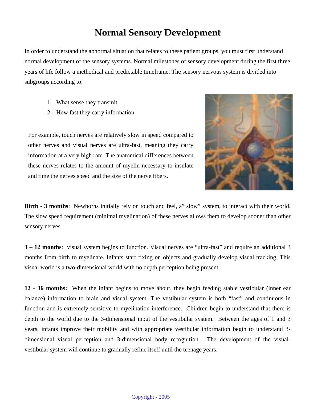# **Normal Sensory Development**

In order to understand the abnormal situation that relates to these patient groups, you must first understand normal development of the sensory systems. Normal milestones of sensory development during the first three years of life follow a methodical and predictable timeframe. The sensory nervous system is divided into subgroups according to:

- 1. What sense they transmit
- 2. How fast they carry information

For example, touch nerves are relatively slow in speed compared to other nerves and visual nerves are ultra-fast, meaning they carry information at a very high rate. The anatomical differences between these nerves relates to the amount of myelin necessary to insulate and time the nerves speed and the size of the nerve fibers.



**Birth - 3 months**: Newborns initially rely on touch and feel, a" slow" system, to interact with their world. The slow speed requirement (minimal myelination) of these nerves allows them to develop sooner than other sensory nerves.

**3 – 12 months**: visual system begins to function. Visual nerves are "ultra-fast" and require an additional 3 months from birth to myelinate. Infants start fixing on objects and gradually develop visual tracking. This visual world is a two-dimensional world with no depth perception being present.

**12 - 36 months:** When the infant begins to move about, they begin feeding stable vestibular (inner ear balance) information to brain and visual system. The vestibular system is both "fast" and continuous in function and is extremely sensitive to myelination interference. Children begin to understand that there is depth to the world due to the 3-dimensional input of the vestibular system. Between the ages of 1 and 3 years, infants improve their mobility and with appropriate vestibular information begin to understand 3 dimensional visual perception and 3-dimensional body recognition. The development of the visualvestibular system will continue to gradually refine itself until the teenage years.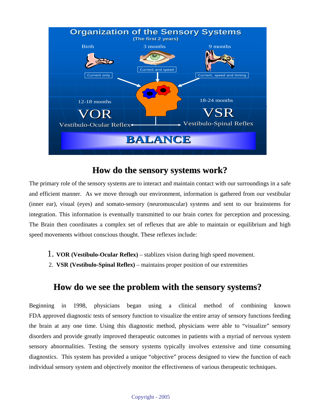

## **How do the sensory systems work?**

The primary role of the sensory systems are to interact and maintain contact with our surroundings in a safe and efficient manner. As we move through our environment, information is gathered from our vestibular (inner ear), visual (eyes) and somato-sensory (neuromuscular) systems and sent to our brainstems for integration. This information is eventually transmitted to our brain cortex for perception and processing. The Brain then coordinates a complex set of reflexes that are able to maintain or equilibrium and high speed movements without conscious thought. These reflexes include:

- 1. **VOR (Vestibulo-Ocular Reflex)** stablizes vision during high speed movement.
- 2. **VSR (Vestibulo-Spinal Reflex)** maintains proper position of our extremities

## **How do we see the problem with the sensory systems?**

Beginning in 1998, physicians began using a clinical method of combining known FDA approved diagnostic tests of sensory function to visualize the entire array of sensory functions feeding the brain at any one time. Using this diagnostic method, physicians were able to "visualize" sensory disorders and provide greatly improved therapeutic outcomes in patients with a myriad of nervous system sensory abnormalities. Testing the sensory systems typically involves extensive and time consuming diagnostics. This system has provided a unique "objective" process designed to view the function of each individual sensory system and objectively monitor the effectiveness of various therapeutic techniques.

#### Copyright - 2005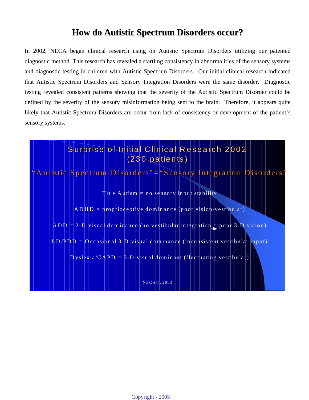# **How do Autistic Spectrum Disorders occur?**

In 2002, NECA began clinical research using on Autistic Spectrum Disorders utilizing our patented diagnostic method. This research has revealed a startling consistency in abnormalities of the sensory systems and diagnostic testing in children with Autistic Spectrum Disorders. Our initial clinical research indicated that Autistic Spectrum Disorders and Sensory Integration Disorders were the same disorder. Diagnostic testing revealed consistent patterns showing that the severity of the Autistic Spectrum Disorder could be defined by the severity of the sensory misinformation being sent to the brain. Therefore, it appears quite likely that Autistic Spectrum Disorders are occur from lack of consistency or development of the patient's sensory systems.



NEC A© , 2003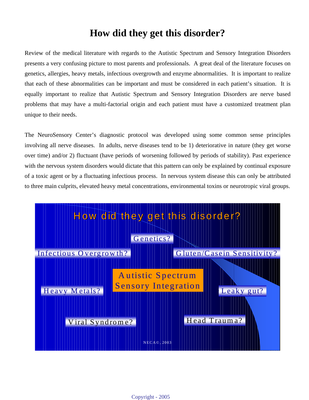# **How did they get this disorder?**

Review of the medical literature with regards to the Autistic Spectrum and Sensory Integration Disorders presents a very confusing picture to most parents and professionals. A great deal of the literature focuses on genetics, allergies, heavy metals, infectious overgrowth and enzyme abnormalities. It is important to realize that each of these abnormalities can be important and must be considered in each patient's situation. It is equally important to realize that Autistic Spectrum and Sensory Integration Disorders are nerve based problems that may have a multi-factorial origin and each patient must have a customized treatment plan unique to their needs.

The NeuroSensory Center's diagnostic protocol was developed using some common sense principles involving all nerve diseases. In adults, nerve diseases tend to be 1) deteriorative in nature (they get worse over time) and/or 2) fluctuant (have periods of worsening followed by periods of stability). Past experience with the nervous system disorders would dictate that this pattern can only be explained by continual exposure of a toxic agent or by a fluctuating infectious process. In nervous system disease this can only be attributed to three main culprits, elevated heavy metal concentrations, environmental toxins or neurotropic viral groups.

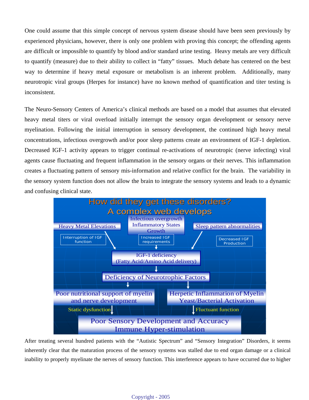One could assume that this simple concept of nervous system disease should have been seen previously by experienced physicians, however, there is only one problem with proving this concept; the offending agents are difficult or impossible to quantify by blood and/or standard urine testing. Heavy metals are very difficult to quantify (measure) due to their ability to collect in "fatty" tissues. Much debate has centered on the best way to determine if heavy metal exposure or metabolism is an inherent problem. Additionally, many neurotropic viral groups (Herpes for instance) have no known method of quantification and titer testing is inconsistent.

The Neuro-Sensory Centers of America's clinical methods are based on a model that assumes that elevated heavy metal titers or viral overload initially interrupt the sensory organ development or sensory nerve myelination. Following the initial interruption in sensory development, the continued high heavy metal concentrations, infectious overgrowth and/or poor sleep patterns create an environment of IGF-1 depletion. Decreased IGF-1 activity appears to trigger continual re-activations of neurotropic (nerve infecting) viral agents cause fluctuating and frequent inflammation in the sensory organs or their nerves. This inflammation creates a fluctuating pattern of sensory mis-information and relative conflict for the brain. The variability in the sensory system function does not allow the brain to integrate the sensory systems and leads to a dynamic and confusing clinical state.



After treating several hundred patients with the "Autistic Spectrum" and "Sensory Integration" Disorders, it seems inherently clear that the maturation process of the sensory systems was stalled due to end organ damage or a clinical inability to properly myelinate the nerves of sensory function. This interference appears to have occurred due to higher

#### Copyright - 2005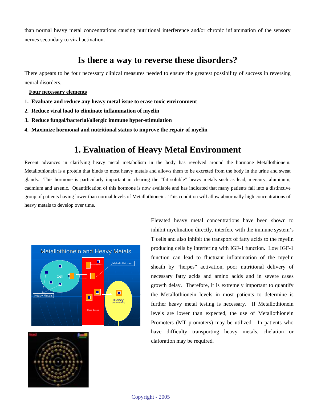than normal heavy metal concentrations causing nutritional interference and/or chronic inflammation of the sensory nerves secondary to viral activation.

# **Is there a way to reverse these disorders?**

There appears to be four necessary clinical measures needed to ensure the greatest possibility of success in reversing neural disorders.

**Four necessary elements**

- **1. Evaluate and reduce any heavy metal issue to erase toxic environment**
- **2. Reduce viral load to eliminate inflammation of myelin**
- **3. Reduce fungal/bacterial/allergic immune hyper-stimulation**
- **4. Maximize hormonal and nutritional status to improve the repair of myelin**

# **1. Evaluation of Heavy Metal Environment**

Recent advances in clarifying heavy metal metabolism in the body has revolved around the hormone Metallothionein. Metallothionein is a protein that binds to most heavy metals and allows them to be excreted from the body in the urine and sweat glands. This hormone is particularly important in clearing the "fat soluble" heavy metals such as lead, mercury, aluminum, cadmium and arsenic. Quantification of this hormone is now available and has indicated that many patients fall into a distinctive group of patients having lower than normal levels of Metallothionein. This condition will allow abnormally high concentrations of heavy metals to develop over time.





Elevated heavy metal concentrations have been shown to inhibit myelination directly, interfere with the immune system's T cells and also inhibit the transport of fatty acids to the myelin producing cells by interfering with IGF-1 function. Low IGF-1 function can lead to fluctuant inflammation of the myelin sheath by "herpes" activation, poor nutritional delivery of necessary fatty acids and amino acids and in severe cases growth delay. Therefore, it is extremely important to quantify the Metallothionein levels in most patients to determine is further heavy metal testing is necessary. If Metallothionein levels are lower than expected, the use of Metallothionein Promoters (MT promoters) may be utilized. In patients who have difficulty transporting heavy metals, chelation or claforation may be required.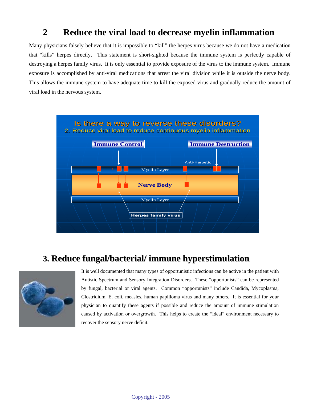# **2 Reduce the viral load to decrease myelin inflammation**

Many physicians falsely believe that it is impossible to "kill" the herpes virus because we do not have a medication that "kills" herpes directly. This statement is short-sighted because the immune system is perfectly capable of destroying a herpes family virus. It is only essential to provide exposure of the virus to the immune system. Immune exposure is accomplished by anti-viral medications that arrest the viral division while it is outside the nerve body. This allows the immune system to have adequate time to kill the exposed virus and gradually reduce the amount of viral load in the nervous system.



# **3. Reduce fungal/bacterial/ immune hyperstimulation**



It is well documented that many types of opportunistic infections can be active in the patient with Autistic Spectrum and Sensory Integration Disorders. These "opportunists" can be represented by fungal, bacterial or viral agents. Common "opportunists" include Candida, Mycoplasma, Clostridium, E. coli, measles, human papilloma virus and many others. It is essential for your physician to quantify these agents if possible and reduce the amount of immune stimulation caused by activation or overgrowth. This helps to create the "ideal" environment necessary to recover the sensory nerve deficit.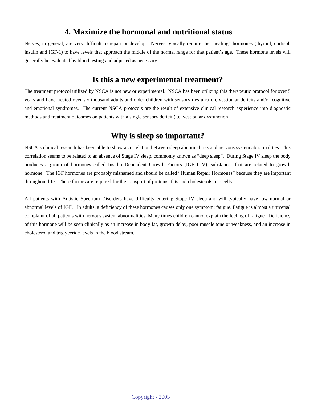## **4. Maximize the hormonal and nutritional status**

Nerves, in general, are very difficult to repair or develop. Nerves typically require the "healing" hormones (thyroid, cortisol, insulin and IGF-1) to have levels that approach the middle of the normal range for that patient's age. These hormone levels will generally be evaluated by blood testing and adjusted as necessary.

## **Is this a new experimental treatment?**

The treatment protocol utilized by NSCA is not new or experimental. NSCA has been utilizing this therapeutic protocol for over 5 years and have treated over six thousand adults and older children with sensory dysfunction, vestibular deficits and/or cognitive and emotional syndromes. The current NSCA protocols are the result of extensive clinical research experience into diagnostic methods and treatment outcomes on patients with a single sensory deficit (i.e. vestibular dysfunction

## **Why is sleep so important?**

NSCA's clinical research has been able to show a correlation between sleep abnormalities and nervous system abnormalities. This correlation seems to be related to an absence of Stage IV sleep, commonly known as "deep sleep". During Stage IV sleep the body produces a group of hormones called Insulin Dependent Growth Factors (IGF I-IV), substances that are related to growth hormone. The IGF hormones are probably misnamed and should be called "Human Repair Hormones" because they are important throughout life. These factors are required for the transport of proteins, fats and cholesterols into cells.

All patients with Autistic Spectrum Disorders have difficulty entering Stage IV sleep and will typically have low normal or abnormal levels of IGF. In adults, a deficiency of these hormones causes only one symptom; fatigue. Fatigue is almost a universal complaint of all patients with nervous system abnormalities. Many times children cannot explain the feeling of fatigue. Deficiency of this hormone will be seen clinically as an increase in body fat, growth delay, poor muscle tone or weakness, and an increase in cholesterol and triglyceride levels in the blood stream.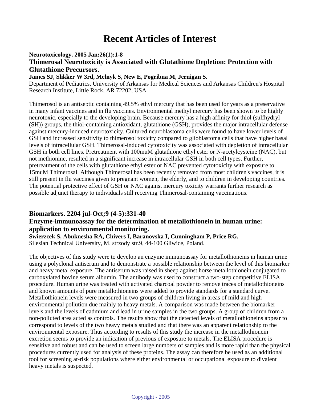# **Recent Articles of Interest**

**Neurotoxicology. 2005 Jan:26(1):1-8** 

### **Thimerosal Neurotoxicity is Associated with Glutathione Depletion: Protection with Glutathione Precursors.**

**James SJ, Slikker W 3rd, Melnyk S, New E, Pogribna M, Jernigan S.**

Department of Pediatrics, University of Arkansas for Medical Sciences and Arkansas Children's Hospital Research Institute, Little Rock, AR 72202, USA.

Thimerosol is an antiseptic containing 49.5% ethyl mercury that has been used for years as a preservative in many infant vaccines and in flu vaccines. Environmental methyl mercury has been shown to be highly neurotoxic, especially to the developing brain. Because mercury has a high affinity for thiol (sulfhydryl (SH)) groups, the thiol-containing antioxidant, glutathione (GSH), provides the major intracellular defense against mercury-induced neurotoxicity. Cultured neuroblastoma cells were found to have lower levels of GSH and increased sensitivity to thimerosol toxicity compared to glioblastoma cells that have higher basal levels of intracellular GSH. Thimerosal-induced cytotoxicity was associated with depletion of intracellular GSH in both cell lines. Pretreatment with 100muM glutathione ethyl ester or N-acetylcysteine (NAC), but not methionine, resulted in a significant increase in intracellular GSH in both cell types. Further, pretreatment of the cells with glutathione ethyl ester or NAC prevented cytotoxicity with exposure to 15muM Thimerosal. Although Thimerosal has been recently removed from most children's vaccines, it is still present in flu vaccines given to pregnant women, the elderly, and to children in developing countries. The potential protective effect of GSH or NAC against mercury toxicity warrants further research as possible adjunct therapy to individuals still receiving Thimerosal-containing vaccinations.

## **Biomarkers. 2204 jul-Oct;9 (4-5):331-40 Enzyme-immunoassay for the determination of metallothionein in human urine: application to environmental monitoring.**

**Swierzcek S, Abuknesha RA, Chivers I, Baranovska I, Cunningham P, Price RG.**

Silesian Technical University, M. strzody str.9, 44-100 Gliwice, Poland.

The objectives of this study were to develop an enzyme immunoassay for metallothioneins in human urine using a polyclonal antiserum and to demonstrate a possible relationship between the level of this biomarker and heavy metal exposure. The antiserum was raised in sheep against horse metallothionein conjugated to carboxylated bovine serum albumin. The antibody was used to construct a two-step competitive ELISA procedure. Human urine was treated with activated charcoal powder to remove traces of metallothioneins and known amounts of pure metallothioneins were added to provide standards for a standard curve. Metallothionein levels were measured in two groups of children living in areas of mild and high environmental pollution due mainly to heavy metals. A comparison was made between the biomarker levels and the levels of cadmium and lead in urine samples in the two groups. A group of children from a non-polluted area acted as controls. The results show that the detected levels of metallothioneins appear to correspond to levels of the two heavy metals studied and that there was an apparent relationship to the environmental exposure. Thus according to results of this study the increase in the metallothionein excretion seems to provide an indication of previous of exposure to metals. The ELISA procedure is sensitive and robust and can be used to screen large numbers of samples and is more rapid than the physical procedures currently used for analysis of these proteins. The assay can therefore be used as an additional tool for screening at-risk populations where either environmental or occupational exposure to divalent heavy metals is suspected.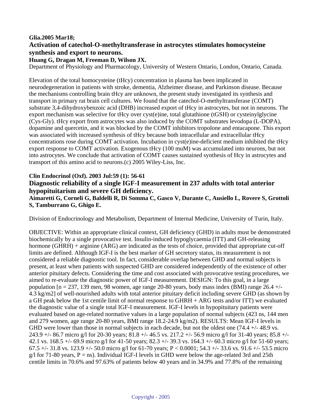### **Glia.2005 Mar18; Activation of catechol-O-methyltransferase in astrocytes stimulates homocysteine synthesis and export to neurons.**

#### **Huang G, Dragan M, Freeman D, Wilson JX.**

Department of Physiology and Pharmacology, University of Western Ontario, London, Ontario, Canada.

Elevation of the total homocysteine (tHcy) concentration in plasma has been implicated in neurodegeneration in patients with stroke, dementia, Alzheimer disease, and Parkinson disease. Because the mechanisms controlling brain tHcy are unknown, the present study investigated its synthesis and transport in primary rat brain cell cultures. We found that the catechol-O-methyltransferase (COMT) substrate 3,4-dihydroxybenzoic acid (DHB) increased export of tHcy in astrocytes, but not in neurons. The export mechanism was selective for tHcy over cyst(e)ine, total glutathione (tGSH) or cysteinylglycine (Cys-Gly). tHcy export from astrocytes was also induced by the COMT substrates levodopa (L-DOPA), dopamine and quercetin, and it was blocked by the COMT inhibitors tropolone and entacapone. This export was associated with increased synthesis of tHcy because both intracellular and extracellular tHcy concentrations rose during COMT activation. Incubation in cyst(e)ine-deficient medium inhibited the tHcy export response to COMT activation. Exogenous tHcy (100 muM) was accumulated into neurons, but not into astrocytes. We conclude that activation of COMT causes sustained synthesis of Hcy in astrocytes and transport of this amino acid to neurons.(c) 2005 Wiley-Liss, Inc.

#### **Clin Endocrinol (Oxf). 2003 Jul:59 (1): 56-61**

### **Diagnostic reliability of a single IGF-I measurement in 237 adults with total anterior hypopituitarism and severe GH deficiency.**

**Aimaretti G, Corneli G, Baldelli R, Di Somma C, Gasco V, Durante C, Ausiello L, Rovere S, Grottoli S, Tamburrano G, Ghigo E.**

Division of Endocrinology and Metabolism, Department of Internal Medicine, University of Turin, Italy.

OBJECTIVE: Within an appropriate clinical context, GH deficiency (GHD) in adults must be demonstrated biochemically by a single provocative test. Insulin-induced hypoglycaemia (ITT) and GH-releasing hormone (GHRH) + arginine (ARG) are indicated as the tests of choice, provided that appropriate cut-off limits are defined. Although IGF-I is the best marker of GH secretory status, its measurement is not considered a reliable diagnostic tool. In fact, considerable overlap between GHD and normal subjects is present, at least when patients with suspected GHD are considered independently of the existence of other anterior pituitary defects. Considering the time and cost associated with provocative testing procedures, we aimed to re-evaluate the diagnostic power of IGF-I measurement. DESIGN: To this goal, in a large population  $[n = 237, 139 \text{ men}, 98 \text{ women},$  age range 20-80 years, body mass index (BMI) range 26.4 +/-4.3 kg/m2] of well-nourished adults with total anterior pituitary deficit including severe GHD (as shown by a GH peak below the 1st centile limit of normal response to GHRH + ARG tests and/or ITT) we evaluated the diagnostic value of a single total IGF-I measurement. IGF-I levels in hypopituitary patients were evaluated based on age-related normative values in a large population of normal subjects (423 ns, 144 men and 279 women, age range 20-80 years, BMI range 18.2-24.9 kg/m2). RESULTS: Mean IGF-I levels in GHD were lower than those in normal subjects in each decade, but not the oldest one (74.4 +/- 48.9 vs.) 243.9 +/- 86.7 micro g/l for 20-30 years; 81.8 +/- 46.5 vs. 217.2 +/- 56.9 micro g/l for 31-40 years; 85.8 +/- 42.1 vs. 168.5 +/- 69.9 micro g/l for 41-50 years; 82.3 +/- 39.3 vs. 164.3 +/- 60.3 micro g/l for 51-60 years; 67.5 +/- 31.8 vs. 123.9 +/- 50.0 micro g/l for 61-70 years; P < 0.0001; 54.3 +/- 33.6 vs. 91.6 +/- 53.5 micro  $g/I$  for 71-80 years, P = ns). Individual IGF-I levels in GHD were below the age-related 3rd and 25th centile limits in 70.6% and 97.63% of patients below 40 years and in 34.9% and 77.8% of the remaining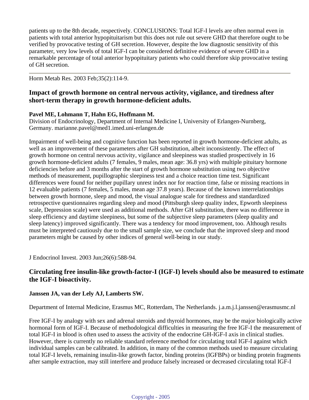patients up to the 8th decade, respectively. CONCLUSIONS: Total IGF-I levels are often normal even in patients with total anterior hypopituitarism but this does not rule out severe GHD that therefore ought to be verified by provocative testing of GH secretion. However, despite the low diagnostic sensitivity of this parameter, very low levels of total IGF-I can be considered definitive evidence of severe GHD in a remarkable percentage of total anterior hypopituitary patients who could therefore skip provocative testing of GH secretion.

Horm Metab Res. 2003 Feb;35(2):114-9.

### **Impact of growth hormone on central nervous activity, vigilance, and tiredness after short-term therapy in growth hormone-deficient adults.**

#### **Pavel ME, Lohmann T, Hahn EG, Hoffmann M.**

Division of Endocrinology, Department of Internal Medicine I, University of Erlangen-Nurnberg, Germany. marianne.pavel@med1.imed.uni-erlangen.de

Impairment of well-being and cognitive function has been reported in growth hormone-deficient adults, as well as an improvement of these parameters after GH substitution, albeit inconsistently. The effect of growth hormone on central nervous activity, vigilance and sleepiness was studied prospectively in 16 growth hormone-deficient adults (7 females, 9 males, mean age: 36.8 yrs) with multiple pituitary hormone deficiencies before and 3 months after the start of growth hormone substitution using two objective methods of measurement, pupillographic sleepiness test and a choice reaction time test. Significant differences were found for neither pupillary unrest index nor for reaction time, false or missing reactions in 12 evaluable patients (7 females, 5 males, mean age 37.8 years). Because of the known interrelationships between growth hormone, sleep and mood, the visual analogue scale for tiredness and standardized retrospective questionnaires regarding sleep and mood (Pittsburgh sleep quality index, Epworth sleepiness scale, Depression scale) were used as additional methods. After GH substitution, there was no difference in sleep efficiency and daytime sleepiness, but some of the subjective sleep parameters (sleep quality and sleep latency) improved significantly. There was a tendency for mood improvement, too. Although results must be interpreted cautiously due to the small sample size, we conclude that the improved sleep and mood parameters might be caused by other indices of general well-being in our study.

J Endocrinol Invest. 2003 Jun;26(6):588-94.

### **Circulating free insulin-like growth-factor-I (IGF-I) levels should also be measured to estimate the IGF-I bioactivity.**

#### **Janssen JA, van der Lely AJ, Lamberts SW.**

Department of Internal Medicine, Erasmus MC, Rotterdam, The Netherlands. j.a.m.j.l.janssen@erasmusmc.nl

Free IGF-I by analogy with sex and adrenal steroids and thyroid hormones, may be the major biologically active hormonal form of IGF-I. Because of methodological difficulties in measuring the free IGF-I the measurement of total IGF-I in blood is often used to assess the activity of the endocrine GH-IGF-I axis in clinical studies. However, there is currently no reliable standard reference method for circulating total IGF-I against which individual samples can be calibrated. In addition, in many of the common methods used to measure circulating total IGF-I levels, remaining insulin-like growth factor, binding proteins (IGFBPs) or binding protein fragments after sample extraction, may still interfere and produce falsely increased or decreased circulating total IGF-I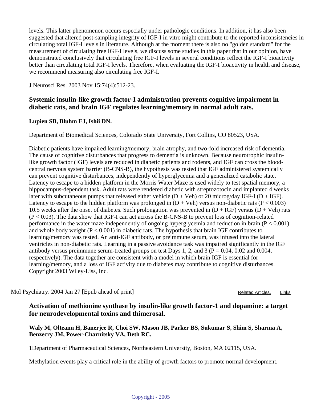levels. This latter phenomenon occurs especially under pathologic conditions. In addition, it has also been suggested that altered post-sampling integrity of IGF-I in vitro might contribute to the reported inconsistencies in circulating total IGF-I levels in literature. Although at the moment there is also no "golden standard" for the measurement of circulating free IGF-I levels, we discuss some studies in this paper that in our opinion, have demonstrated conclusively that circulating free IGF-I levels in several conditions reflect the IGF-I bioactivity better than circulating total IGF-I levels. Therefore, when evaluating the IGF-I bioactivity in health and disease, we recommend measuring also circulating free IGF-I.

J Neurosci Res. 2003 Nov 15;74(4):512-23.

### **Systemic insulin-like growth factor-I administration prevents cognitive impairment in diabetic rats, and brain IGF regulates learning/memory in normal adult rats.**

#### **Lupien SB, Bluhm EJ, Ishii DN.**

Department of Biomedical Sciences, Colorado State University, Fort Collins, CO 80523, USA.

Diabetic patients have impaired learning/memory, brain atrophy, and two-fold increased risk of dementia. The cause of cognitive disturbances that progress to dementia is unknown. Because neurotrophic insulinlike growth factor (IGF) levels are reduced in diabetic patients and rodents, and IGF can cross the bloodcentral nervous system barrier (B-CNS-B), the hypothesis was tested that IGF administered systemically can prevent cognitive disturbances, independently of hyperglycemia and a generalized catabolic state. Latency to escape to a hidden platform in the Morris Water Maze is used widely to test spatial memory, a hippocampus-dependent task. Adult rats were rendered diabetic with streptozotocin and implanted 4 weeks later with subcutaneous pumps that released either vehicle  $(D + Veh)$  or 20 microg/day IGF-I  $(D + IGF)$ . Latency to escape to the hidden platform was prolonged in  $(D + Veh)$  versus non-diabetic rats  $(P < 0.003)$ 10.5 weeks after the onset of diabetes. Such prolongation was prevented in  $(D + IGF)$  versus  $(D + Veh)$  rats  $(P < 0.03)$ . The data show that IGF-I can act across the B-CNS-B to prevent loss of cognition-related performance in the water maze independently of ongoing hyperglycemia and reduction in brain  $(P < 0.001)$ and whole body weight  $(P < 0.001)$  in diabetic rats. The hypothesis that brain IGF contributes to learning/memory was tested. An anti-IGF antibody, or preimmune serum, was infused into the lateral ventricles in non-diabetic rats. Learning in a passive avoidance task was impaired significantly in the IGF antibody versus preimmune serum-treated groups on test Days 1, 2, and 3 ( $P = 0.04$ , 0.02 and 0.004, respectively). The data together are consistent with a model in which brain IGF is essential for learning/memory, and a loss of IGF activity due to diabetes may contribute to cognitive disturbances. Copyright 2003 Wiley-Liss, Inc.

Mol Psychiatry. 2004 Jan 27 [Epub ahead of print] Related Articles, Links

**Activation of methionine synthase by insulin-like growth factor-1 and dopamine: a target for neurodevelopmental toxins and thimerosal.**

**Waly M, Olteanu H, Banerjee R, Choi SW, Mason JB, Parker BS, Sukumar S, Shim S, Sharma A, Benzecry JM, Power-Charnitsky VA, Deth RC.**

1Department of Pharmaceutical Sciences, Northeastern University, Boston, MA 02115, USA.

Methylation events play a critical role in the ability of growth factors to promote normal development.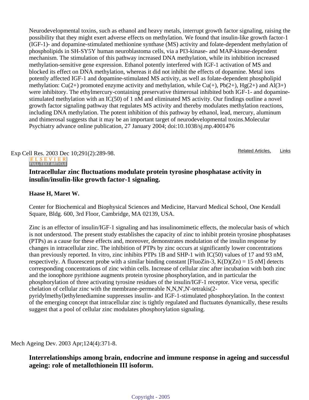Neurodevelopmental toxins, such as ethanol and heavy metals, interrupt growth factor signaling, raising the possibility that they might exert adverse effects on methylation. We found that insulin-like growth factor-1 (IGF-1)- and dopamine-stimulated methionine synthase (MS) activity and folate-dependent methylation of phospholipids in SH-SY5Y human neuroblastoma cells, via a PI3-kinase- and MAP-kinase-dependent mechanism. The stimulation of this pathway increased DNA methylation, while its inhibition increased methylation-sensitive gene expression. Ethanol potently interfered with IGF-1 activation of MS and blocked its effect on DNA methylation, whereas it did not inhibit the effects of dopamine. Metal ions potently affected IGF-1 and dopamine-stimulated MS activity, as well as folate-dependent phospholipid methylation:  $Cu(2+)$  promoted enzyme activity and methylation, while  $Cu(+)$ ,  $Pb(2+)$ ,  $Hg(2+)$  and  $Al(3+)$ were inhibitory. The ethylmercury-containing preservative thimerosal inhibited both IGF-1- and dopaminestimulated methylation with an IC(50) of 1 nM and eliminated MS activity. Our findings outline a novel growth factor signaling pathway that regulates MS activity and thereby modulates methylation reactions, including DNA methylation. The potent inhibition of this pathway by ethanol, lead, mercury, aluminum and thimerosal suggests that it may be an important target of neurodevelopmental toxins.Molecular Psychiatry advance online publication, 27 January 2004; doi:10.1038/sj.mp.4001476

Exp Cell Res.  $2003$  Dec 10;291(2):289-98.<br> **ELSEVIER**<br> **ELSEVIER**

## **Intracellular zinc fluctuations modulate protein tyrosine phosphatase activity in insulin/insulin-like growth factor-1 signaling.**

### **Haase H, Maret W.**

Center for Biochemical and Biophysical Sciences and Medicine, Harvard Medical School, One Kendall Square, Bldg. 600, 3rd Floor, Cambridge, MA 02139, USA.

Zinc is an effector of insulin/IGF-1 signaling and has insulinomimetic effects, the molecular basis of which is not understood. The present study establishes the capacity of zinc to inhibit protein tyrosine phosphatases (PTPs) as a cause for these effects and, moreover, demonstrates modulation of the insulin response by changes in intracellular zinc. The inhibition of PTPs by zinc occurs at significantly lower concentrations than previously reported. In vitro, zinc inhibits PTPs 1B and SHP-1 with IC(50) values of 17 and 93 nM, respectively. A fluorescent probe with a similar binding constant [FluoZin-3, K(D)(Zn) = 15 nM] detects corresponding concentrations of zinc within cells. Increase of cellular zinc after incubation with both zinc and the ionophore pyrithione augments protein tyrosine phosphorylation, and in particular the phosphorylation of three activating tyrosine residues of the insulin/IGF-1 receptor. Vice versa, specific chelation of cellular zinc with the membrane-permeable N,N,N',N'-tetrakis(2 pyridylmethyl)ethylenediamine suppresses insulin- and IGF-1-stimulated phosphorylation. In the context of the emerging concept that intracellular zinc is tightly regulated and fluctuates dynamically, these results suggest that a pool of cellular zinc modulates phosphorylation signaling.

Mech Ageing Dev. 2003 Apr;124(4):371-8.

### **Interrelationships among brain, endocrine and immune response in ageing and successful ageing: role of metallothionein III isoform.**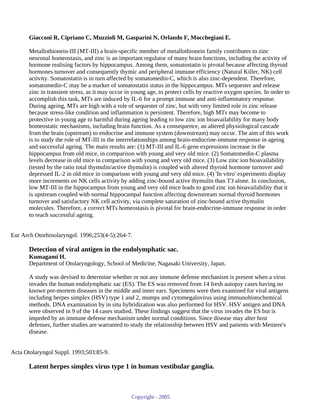#### **Giacconi R, Cipriano C, Muzzioli M, Gasparini N, Orlando F, Mocchegiani E.**

Metallothionein-III (MT-III) a brain-specific member of metallothionein family contributes to zinc neuronal homeostasis, and zinc is an important regulator of many brain functions, including the activity of hormone realising factors by hippocampus. Among them, somatostatin is pivotal because affecting thyroid hormones turnover and consequently thymic and peripheral immune efficiency (Natural Killer, NK) cell activity. Somatostatin is in turn affected by somatomedin-C, which is also zinc-dependent. Therefore, somatomedin-C may be a marker of somatostatin status in the hippocampus. MTs sequester and release zinc in transient stress, as it may occur in young age, to protect cells by reactive oxygen species. In order to accomplish this task, MTs are induced by IL-6 for a prompt immune and anti-inflammatory response. During ageing, MTs are high with a role of sequester of zinc, but with very limited role in zinc release because stress-like condition and inflammation is persistent. Therefore, high MTs may become to protective in young age to harmful during ageing leading to low zinc ion bioavailability for many body homeostatic mechanisms, including brain function. As a consequence, an altered physiological cascade from the brain (upstream) to endocrine and immune system (downstream) may occur. The aim of this work is to study the role of MT-III in the interrelationships among brain-endocrine-immune response in ageing and successful ageing. The main results are: (1) MT-III and IL-6 gene expressions increase in the hippocampus from old mice, in comparison with young and very old mice. (2) Somatomedin-C plasma levels decrease in old mice in comparison with young and very old mice. (3) Low zinc ion bioavailability (tested by the ratio total thymulin/active thymulin) is coupled with altered thyroid hormone turnover and depressed IL-2 in old mice in comparison with young and very old mice. (4) 'In vitro' experiments display more increments on NK cells activity by adding zinc-bound active thymulin than T3 alone. In conclusion, low MT-III in the hippocampus from young and very old mice leads to good zinc ion bioavailability that it is upstream coupled with normal hippocampal function affecting downstream normal thyroid hormones turnover and satisfactory NK cell activity, via complete saturation of zinc-bound active thymulin molecules. Therefore, a correct MTs homeostasis is pivotal for brain-endocrine-immune response in order to reach successful ageing.

Eur Arch Otorhinolaryngol. 1996;253(4-5):264-7.

#### **Detection of viral antigen in the endolymphatic sac. Kumagami H.**

Department of Otolaryngology, School of Medicine, Nagasaki University, Japan.

A study was devised to determine whether or not any immune defense mechanism is present when a virus invades the human endolymphatic sac (ES). The ES was removed from 14 fresh autopsy cases having no known pre-mortem diseases in the middle and inner ears. Specimens were then examined for viral antigens including herpes simplex (HSV) type 1 and 2, mumps and cytomegalovirus using immunohistochemical methods. DNA examination by in situ hybridization was also performed for HSV. HSV antigen and DNA were observed in 9 of the 14 cases studied. These findings suggest that the virus invades the ES but is impeded by an immune defense mechanism under normal conditions. Since disease may alter host defenses, further studies are warranted to study the relationship between HSV and patients with Meniere's disease.

Acta Otolaryngol Suppl. 1993;503:85-9.

### **Latent herpes simplex virus type 1 in human vestibular ganglia.**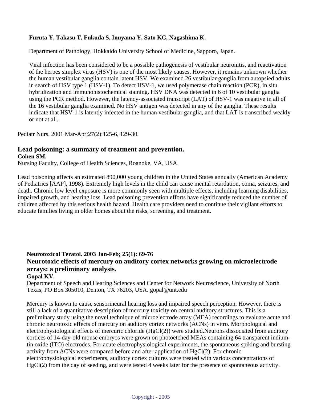#### **Furuta Y, Takasu T, Fukuda S, Inuyama Y, Sato KC, Nagashima K.**

Department of Pathology, Hokkaido University School of Medicine, Sapporo, Japan.

Viral infection has been considered to be a possible pathogenesis of vestibular neuronitis, and reactivation of the herpes simplex virus (HSV) is one of the most likely causes. However, it remains unknown whether the human vestibular ganglia contain latent HSV. We examined 26 vestibular ganglia from autopsied adults in search of HSV type 1 (HSV-1). To detect HSV-1, we used polymerase chain reaction (PCR), in situ hybridization and immunohistochemical staining. HSV DNA was detected in 6 of 10 vestibular ganglia using the PCR method. However, the latency-associated transcript (LAT) of HSV-1 was negative in all of the 16 vestibular ganglia examined. No HSV antigen was detected in any of the ganglia. These results indicate that HSV-1 is latently infected in the human vestibular ganglia, and that LAT is transcribed weakly or not at all.

Pediatr Nurs. 2001 Mar-Apr;27(2):125-6, 129-30.

### **Lead poisoning: a summary of treatment and prevention.**

**Cohen SM.**

Nursing Faculty, College of Health Sciences, Roanoke, VA, USA.

Lead poisoning affects an estimated 890,000 young children in the United States annually (American Academy of Pediatrics [AAP], 1998). Extremely high levels in the child can cause mental retardation, coma, seizures, and death. Chronic low level exposure is more commonly seen with multiple effects, including learning disabilities, impaired growth, and hearing loss. Lead poisoning prevention efforts have significantly reduced the number of children affected by this serious health hazard. Health care providers need to continue their vigilant efforts to educate families living in older homes about the risks, screening, and treatment.

### **Neurotoxicol Teratol. 2003 Jan-Feb; 25(1): 69-76 Neurotoxic effects of mercury on auditory cortex networks growing on microelectrode arrays: a preliminary analysis.**

#### **Gopal KV.**

Department of Speech and Hearing Sciences and Center for Network Neuroscience, University of North Texas, PO Box 305010, Denton, TX 76203, USA. gopal@unt.edu

Mercury is known to cause sensorineural hearing loss and impaired speech perception. However, there is still a lack of a quantitative description of mercury toxicity on central auditory structures. This is a preliminary study using the novel technique of microelectrode array (MEA) recordings to evaluate acute and chronic neurotoxic effects of mercury on auditory cortex networks (ACNs) in vitro. Morphological and electrophysiological effects of mercuric chloride (HgCl(2)) were studied.Neurons dissociated from auditory cortices of 14-day-old mouse embryos were grown on photoetched MEAs containing 64 transparent indiumtin oxide (ITO) electrodes. For acute electrophysiological experiments, the spontaneous spiking and bursting activity from ACNs were compared before and after application of HgCl(2). For chronic electrophysiological experiments, auditory cortex cultures were treated with various concentrations of HgCl(2) from the day of seeding, and were tested 4 weeks later for the presence of spontaneous activity.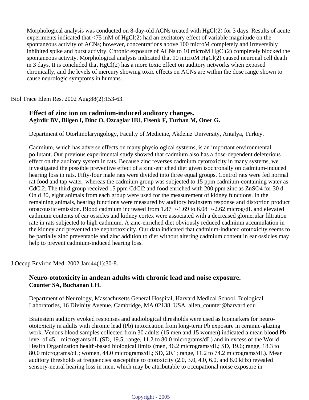Morphological analysis was conducted on 8-day-old ACNs treated with HgCl(2) for 3 days. Results of acute experiments indicated that  $\langle 75 \text{ mM of HgCl}(2) \rangle$  had an excitatory effect of variable magnitude on the spontaneous activity of ACNs; however, concentrations above 100 microM completely and irreversibly inhibited spike and burst activity. Chronic exposure of ACNs to 10 microM HgCl(2) completely blocked the spontaneous activity. Morphological analysis indicated that 10 microM HgCl(2) caused neuronal cell death in 3 days. It is concluded that HgCl(2) has a more toxic effect on auditory networks when exposed chronically, and the levels of mercury showing toxic effects on ACNs are within the dose range shown to cause neurologic symptoms in humans.

Biol Trace Elem Res. 2002 Aug;88(2):153-63.

### **Effect of zinc ion on cadmium-induced auditory changes. Agirdir BV, Bilgen I, Dinc O, Ozcaglar HU, Fisenk F, Turhan M, Oner G.**

Department of Otorhinolaryngology, Faculty of Medicine, Akdeniz University, Antalya, Turkey.

Cadmium, which has adverse effects on many physiological systems, is an important environmental pollutant. Our previous experimental study showed that cadmium also has a dose-dependent deleterious effect on the auditory system in rats. Because zinc reverses cadmium cytotoxicity in many systems, we investigated the possible preventive effect of a zinc-enriched diet given isochronally on cadmium-induced hearing loss in rats. Fifty-four male rats were divided into three equal groups. Control rats were fed normal rat food and tap water, whereas the cadmium group was subjected to 15 ppm cadmium-containing water as CdCl2. The third group received 15 ppm CdCl2 and food enriched with 200 ppm zinc as ZnSO4 for 30 d. On d 30, eight animals from each group were used for the measurement of kidney functions. In the remaining animals, hearing functions were measured by auditory brainstem response and distortion product otoacoustic emission. Blood cadmium increased from 1.87+/-1.69 to 6.08+/-2.62 microg/dL and elevated cadmium contents of ear ossicles and kidney cortex were associated with a decreased glomerular filtration rate in rats subjected to high cadmium. A zinc-enriched diet obviously reduced cadmium accumulation in the kidney and prevented the nephrotoxicity. Our data indicated that cadmium-induced ototoxicity seems to be partially zinc preventable and zinc addition to diet without altering cadmium content in ear ossicles may help to prevent cadmium-induced hearing loss.

J Occup Environ Med. 2002 Jan;44(1):30-8.

### **Neuro-ototoxicity in andean adults with chronic lead and noise exposure. Counter SA, Buchanan LH.**

Department of Neurology, Massachusetts General Hospital, Harvard Medical School, Biological Laboratories, 16 Divinity Avenue, Cambridge, MA 02138, USA. allen\_counter@harvard.edu

Brainstem auditory evoked responses and audiological thresholds were used as biomarkers for neuroototoxicity in adults with chronic lead (Pb) intoxication from long-term Pb exposure in ceramic-glazing work. Venous blood samples collected from 30 adults (15 men and 15 women) indicated a mean blood Pb level of 45.1 micrograms/dL (SD, 19.5; range, 11.2 to 80.0 micrograms/dL) and in excess of the World Health Organization health-based biological limits (men, 46.2 micrograms/dL; SD, 19.6; range, 18.3 to 80.0 micrograms/dL; women, 44.0 micrograms/dL; SD, 20.1; range, 11.2 to 74.2 micrograms/dL). Mean auditory thresholds at frequencies susceptible to ototoxicity (2.0, 3.0, 4.0, 6.0, and 8.0 kHz) revealed sensory-neural hearing loss in men, which may be attributable to occupational noise exposure in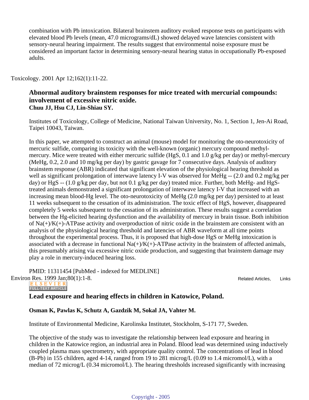combination with Pb intoxication. Bilateral brainstem auditory evoked response tests on participants with elevated blood Pb levels (mean, 47.0 micrograms/dL) showed delayed wave latencies consistent with sensory-neural hearing impairment. The results suggest that environmental noise exposure must be considered an important factor in determining sensory-neural hearing status in occupationally Pb-exposed adults.

#### Toxicology. 2001 Apr 12;162(1):11-22.

#### **Abnormal auditory brainstem responses for mice treated with mercurial compounds: involvement of excessive nitric oxide. Chuu JJ, Hsu CJ, Lin-Shiau SY.**

Institutes of Toxicology, College of Medicine, National Taiwan University, No. 1, Section 1, Jen-Ai Road, Taipei 10043, Taiwan.

In this paper, we attempted to construct an animal (mouse) model for monitoring the oto-neurotoxicity of mercuric sulfide, comparing its toxicity with the well-known (organic) mercury compound methylmercury. Mice were treated with either mercuric sulfide (HgS, 0.1 and 1.0 g/kg per day) or methyl-mercury (MeHg, 0.2, 2.0 and 10 mg/kg per day) by gastric gavage for 7 consecutive days. Analysis of auditory brainstem response (ABR) indicated that significant elevation of the physiological hearing threshold as well as significant prolongation of interwave latency I-V was observed for MeHg -- (2.0 and 0.2 mg/kg per day) or HgS -- (1.0 g/kg per day, but not 0.1 g/kg per day) treated mice. Further, both MeHg- and HgStreated animals demonstrated a significant prolongation of interwave latency I-V that increased with an increasing mean blood-Hg level. The oto-neurotoxicity of MeHg (2.0 mg/kg per day) persisted to at least 11 weeks subsequent to the cessation of its administration. The toxic effect of HgS, however, disappeared completely 5 weeks subsequent to the cessation of its administration. These results suggest a correlation between the Hg-elicited hearing dysfunction and the availability of mercury in brain tissue. Both inhibition of  $Na(+)/K(+)$ -ATPase activity and overproduction of nitric oxide in the brainstem are consistent with an analysis of the physiological hearing threshold and latencies of ABR waveform at all time points throughout the experimental process. Thus, it is proposed that high-dose HgS or MeHg intoxication is associated with a decrease in functional  $Na(+) / K(+)$ -ATPase activity in the brainstem of affected animals, this presumably arising via excessive nitric oxide production, and suggesting that brainstem damage may play a role in mercury-induced hearing loss.

PMID: 11311454 [PubMed - indexed for MEDLINE] Environ Res. 1999 Jan; 80(1): 1-8.<br>
ELSEVIER

**FULL-TEXT ARTICLE** 

#### **Lead exposure and hearing effects in children in Katowice, Poland.**

#### **Osman K, Pawlas K, Schutz A, Gazdzik M, Sokal JA, Vahter M.**

Institute of Environmental Medicine, Karolinska Institutet, Stockholm, S-171 77, Sweden.

The objective of the study was to investigate the relationship between lead exposure and hearing in children in the Katowice region, an industrial area in Poland. Blood lead was determined using inductively coupled plasma mass spectrometry, with appropriate quality control. The concentrations of lead in blood (B-Pb) in 155 children, aged 4-14, ranged from 19 to 281 microg/L (0.09 to 1.4 micromol/L), with a median of 72 microg/L (0.34 micromol/L). The hearing thresholds increased significantly with increasing